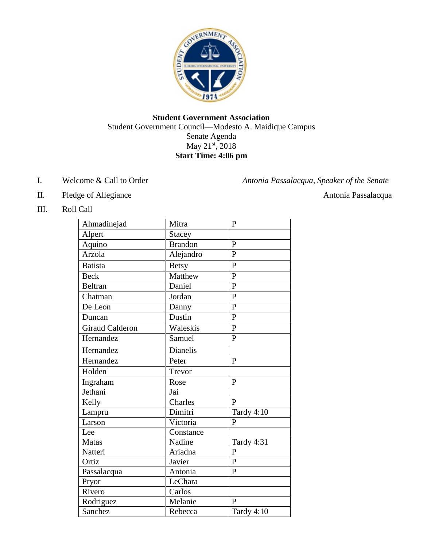

# **Student Government Association** Student Government Council—Modesto A. Maidique Campus Senate Agenda May 21<sup>st</sup>, 2018 **Start Time: 4:06 pm**

I. Welcome & Call to Order *Antonia Passalacqua, Speaker of the Senate*

- II. Pledge of Allegiance **Antonia Passalacqua**
- III. Roll Call

| Ahmadinejad            | Mitra           | $\mathbf{P}$   |
|------------------------|-----------------|----------------|
| Alpert                 | <b>Stacey</b>   |                |
| Aquino                 | <b>Brandon</b>  | $\mathbf{P}$   |
| Arzola                 | Alejandro       | $\mathbf{P}$   |
| <b>Batista</b>         | <b>Betsy</b>    | $\overline{P}$ |
| <b>Beck</b>            | Matthew         | $\overline{P}$ |
| <b>Beltran</b>         | Daniel          | $\overline{P}$ |
| Chatman                | Jordan          | $\mathbf{P}$   |
| De Leon                | Danny           | $\overline{P}$ |
| Duncan                 | Dustin          | $\mathbf{P}$   |
| <b>Giraud Calderon</b> | Waleskis        | $\mathbf{P}$   |
| Hernandez              | Samuel          | $\mathbf{P}$   |
| Hernandez              | <b>Dianelis</b> |                |
| Hernandez              | Peter           | P              |
| Holden                 | Trevor          |                |
| Ingraham               | Rose            | $\mathbf{P}$   |
| Jethani                | Jai             |                |
| Kelly                  | Charles         | $\mathbf{P}$   |
| Lampru                 | Dimitri         | Tardy 4:10     |
| Larson                 | Victoria        | $\mathbf{P}$   |
| Lee                    | Constance       |                |
| <b>Matas</b>           | Nadine          | Tardy 4:31     |
| Natteri                | Ariadna         | $\overline{P}$ |
| Ortiz                  | Javier          | $\overline{P}$ |
| Passalacqua            | Antonia         | $\overline{P}$ |
| Pryor                  | LeChara         |                |
| Rivero                 | Carlos          |                |
| Rodriguez              | Melanie         | $\mathbf{p}$   |
| Sanchez                | Rebecca         | Tardy 4:10     |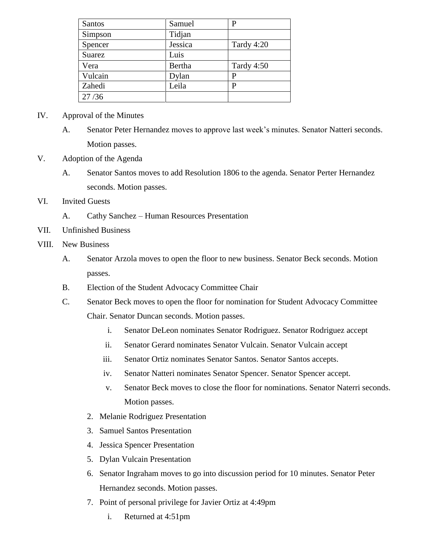| Santos        | Samuel  | P          |
|---------------|---------|------------|
| Simpson       | Tidjan  |            |
| Spencer       | Jessica | Tardy 4:20 |
| <b>Suarez</b> | Luis    |            |
| Vera          | Bertha  | Tardy 4:50 |
| Vulcain       | Dylan   | P          |
| Zahedi        | Leila   | P          |
| 27/36         |         |            |

#### IV. Approval of the Minutes

- A. Senator Peter Hernandez moves to approve last week's minutes. Senator Natteri seconds. Motion passes.
- V. Adoption of the Agenda
	- A. Senator Santos moves to add Resolution 1806 to the agenda. Senator Perter Hernandez seconds. Motion passes.
- VI. Invited Guests
	- A. Cathy Sanchez Human Resources Presentation
- VII. Unfinished Business
- VIII. New Business
	- A. Senator Arzola moves to open the floor to new business. Senator Beck seconds. Motion passes.
	- B. Election of the Student Advocacy Committee Chair
	- C. Senator Beck moves to open the floor for nomination for Student Advocacy Committee Chair. Senator Duncan seconds. Motion passes.
		- i. Senator DeLeon nominates Senator Rodriguez. Senator Rodriguez accept
		- ii. Senator Gerard nominates Senator Vulcain. Senator Vulcain accept
		- iii. Senator Ortiz nominates Senator Santos. Senator Santos accepts.
		- iv. Senator Natteri nominates Senator Spencer. Senator Spencer accept.
		- v. Senator Beck moves to close the floor for nominations. Senator Naterri seconds. Motion passes.
		- 2. Melanie Rodriguez Presentation
		- 3. Samuel Santos Presentation
		- 4. Jessica Spencer Presentation
		- 5. Dylan Vulcain Presentation
		- 6. Senator Ingraham moves to go into discussion period for 10 minutes. Senator Peter Hernandez seconds. Motion passes.
		- 7. Point of personal privilege for Javier Ortiz at 4:49pm
			- i. Returned at 4:51pm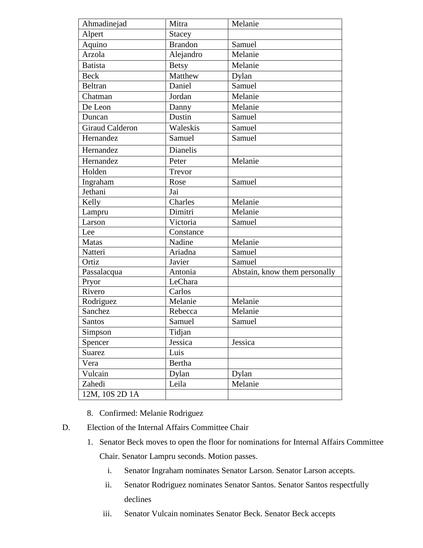| Ahmadinejad            | Mitra          | Melanie                       |
|------------------------|----------------|-------------------------------|
| Alpert                 | <b>Stacey</b>  |                               |
| Aquino                 | <b>Brandon</b> | Samuel                        |
| Arzola                 | Alejandro      | Melanie                       |
| <b>Batista</b>         | <b>Betsy</b>   | Melanie                       |
| <b>Beck</b>            | Matthew        | Dylan                         |
| <b>Beltran</b>         | Daniel         | Samuel                        |
| Chatman                | Jordan         | Melanie                       |
| De Leon                | Danny          | Melanie                       |
| Duncan                 | Dustin         | Samuel                        |
| <b>Giraud Calderon</b> | Waleskis       | Samuel                        |
| Hernandez              | Samuel         | Samuel                        |
| Hernandez              | Dianelis       |                               |
| Hernandez              | Peter          | Melanie                       |
| Holden                 | Trevor         |                               |
| Ingraham               | Rose           | Samuel                        |
| Jethani                | Jai            |                               |
| Kelly                  | Charles        | Melanie                       |
| Lampru                 | Dimitri        | Melanie                       |
| Larson                 | Victoria       | Samuel                        |
| Lee                    | Constance      |                               |
| <b>Matas</b>           | Nadine         | Melanie                       |
| Natteri                | Ariadna        | Samuel                        |
| Ortiz                  | Javier         | Samuel                        |
| Passalacqua            | Antonia        | Abstain, know them personally |
| Pryor                  | LeChara        |                               |
| Rivero                 | Carlos         |                               |
| Rodriguez              | Melanie        | Melanie                       |
| Sanchez                | Rebecca        | Melanie                       |
| <b>Santos</b>          | Samuel         | Samuel                        |
| Simpson                | Tidjan         |                               |
| Spencer                | Jessica        | Jessica                       |
| Suarez                 | Luis           |                               |
| Vera                   | Bertha         |                               |
| Vulcain                | Dylan          | Dylan                         |
| Zahedi                 | Leila          | Melanie                       |
| 12M, 10S 2D 1A         |                |                               |
|                        |                |                               |

- 8. Confirmed: Melanie Rodriguez
- D. Election of the Internal Affairs Committee Chair
	- 1. Senator Beck moves to open the floor for nominations for Internal Affairs Committee Chair. Senator Lampru seconds. Motion passes.
		- i. Senator Ingraham nominates Senator Larson. Senator Larson accepts.
		- ii. Senator Rodriguez nominates Senator Santos. Senator Santos respectfully declines
		- iii. Senator Vulcain nominates Senator Beck. Senator Beck accepts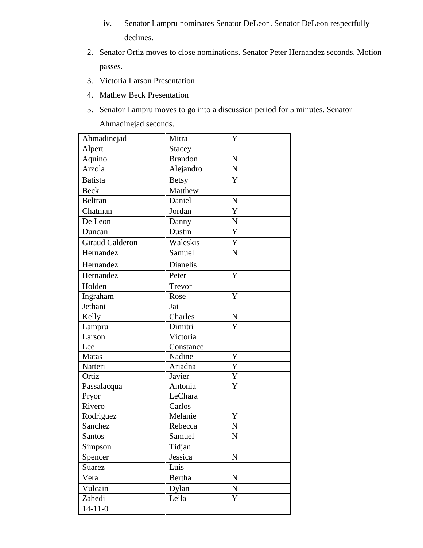- iv. Senator Lampru nominates Senator DeLeon. Senator DeLeon respectfully declines.
- 2. Senator Ortiz moves to close nominations. Senator Peter Hernandez seconds. Motion passes.
- 3. Victoria Larson Presentation
- 4. Mathew Beck Presentation
- 5. Senator Lampru moves to go into a discussion period for 5 minutes. Senator Ahmadinejad seconds.

| Ahmadinejad            | Mitra          | Y              |
|------------------------|----------------|----------------|
| Alpert                 | <b>Stacey</b>  |                |
| Aquino                 | <b>Brandon</b> | N              |
| Arzola                 | Alejandro      | $\mathbf N$    |
| <b>Batista</b>         | <b>Betsy</b>   | Y              |
| <b>Beck</b>            | Matthew        |                |
| <b>Beltran</b>         | Daniel         | $\mathbf N$    |
| Chatman                | Jordan         | Y              |
| De Leon                | Danny          | $\overline{N}$ |
| Duncan                 | Dustin         | $\overline{Y}$ |
| <b>Giraud Calderon</b> | Waleskis       | Y              |
| Hernandez              | Samuel         | N              |
| Hernandez              | Dianelis       |                |
| Hernandez              | Peter          | Y              |
| Holden                 | Trevor         |                |
| Ingraham               | Rose           | Y              |
| Jethani                | Jai            |                |
| Kelly                  | Charles        | ${\bf N}$      |
| Lampru                 | Dimitri        | Y              |
| Larson                 | Victoria       |                |
| Lee                    | Constance      |                |
| Matas                  | Nadine         | Y              |
| Natteri                | Ariadna        | Y              |
| Ortiz                  | Javier         | Y              |
| Passalacqua            | Antonia        | Y              |
| Pryor                  | LeChara        |                |
| Rivero                 | Carlos         |                |
| Rodriguez              | Melanie        | Y              |
| Sanchez                | Rebecca        | $\mathbf N$    |
| <b>Santos</b>          | Samuel         | $\mathbf N$    |
| Simpson                | Tidjan         |                |
| Spencer                | Jessica        | $\mathbf N$    |
| Suarez                 | Luis           |                |
| Vera                   | Bertha         | ${\bf N}$      |
| Vulcain                | Dylan          | ${\bf N}$      |
| Zahedi                 | Leila          | Y              |
| $14 - 11 - 0$          |                |                |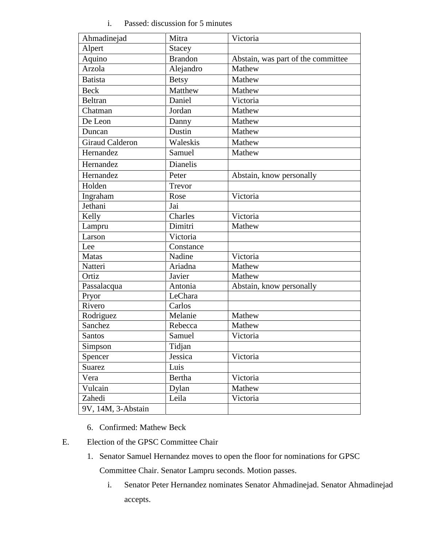# i. Passed: discussion for 5 minutes

| Ahmadinejad            | Mitra           | Victoria                           |
|------------------------|-----------------|------------------------------------|
| Alpert                 | <b>Stacey</b>   |                                    |
| Aquino                 | <b>Brandon</b>  | Abstain, was part of the committee |
| Arzola                 | Alejandro       | Mathew                             |
| <b>Batista</b>         | <b>Betsy</b>    | Mathew                             |
| <b>Beck</b>            | Matthew         | Mathew                             |
| <b>Beltran</b>         | Daniel          | Victoria                           |
| Chatman                | Jordan          | Mathew                             |
| De Leon                | Danny           | Mathew                             |
| Duncan                 | Dustin          | Mathew                             |
| <b>Giraud Calderon</b> | Waleskis        | Mathew                             |
| Hernandez              | Samuel          | Mathew                             |
| Hernandez              | <b>Dianelis</b> |                                    |
| Hernandez              | Peter           | Abstain, know personally           |
| Holden                 | Trevor          |                                    |
| Ingraham               | Rose            | Victoria                           |
| Jethani                | Jai             |                                    |
| Kelly                  | Charles         | Victoria                           |
| Lampru                 | Dimitri         | Mathew                             |
| Larson                 | Victoria        |                                    |
| Lee                    | Constance       |                                    |
| <b>Matas</b>           | Nadine          | Victoria                           |
| Natteri                | Ariadna         | Mathew                             |
| Ortiz                  | Javier          | Mathew                             |
| Passalacqua            | Antonia         | Abstain, know personally           |
| Pryor                  | LeChara         |                                    |
| Rivero                 | Carlos          |                                    |
| Rodriguez              | Melanie         | Mathew                             |
| Sanchez                | Rebecca         | Mathew                             |
| <b>Santos</b>          | Samuel          | Victoria                           |
| Simpson                | Tidjan          |                                    |
| Spencer                | Jessica         | Victoria                           |
| Suarez                 | Luis            |                                    |
| Vera                   | Bertha          | Victoria                           |
| Vulcain                | Dylan           | Mathew                             |
| Zahedi                 | Leila           | Victoria                           |
| 9V, 14M, 3-Abstain     |                 |                                    |

- 6. Confirmed: Mathew Beck
- E. Election of the GPSC Committee Chair
	- 1. Senator Samuel Hernandez moves to open the floor for nominations for GPSC Committee Chair. Senator Lampru seconds. Motion passes.
		- i. Senator Peter Hernandez nominates Senator Ahmadinejad. Senator Ahmadinejad accepts.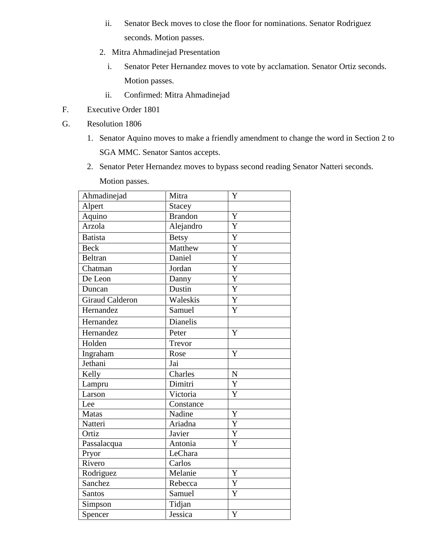- ii. Senator Beck moves to close the floor for nominations. Senator Rodriguez seconds. Motion passes.
- 2. Mitra Ahmadinejad Presentation
	- i. Senator Peter Hernandez moves to vote by acclamation. Senator Ortiz seconds. Motion passes.
	- ii. Confirmed: Mitra Ahmadinejad
- F. Executive Order 1801
- G. Resolution 1806
	- 1. Senator Aquino moves to make a friendly amendment to change the word in Section 2 to SGA MMC. Senator Santos accepts.
	- 2. Senator Peter Hernandez moves to bypass second reading Senator Natteri seconds.

| Ahmadinejad            | Mitra          | Y                     |
|------------------------|----------------|-----------------------|
| Alpert                 | <b>Stacey</b>  |                       |
| Aquino                 | <b>Brandon</b> | Y                     |
| Arzola                 | Alejandro      | Y                     |
| <b>Batista</b>         | <b>Betsy</b>   | Y                     |
| <b>Beck</b>            | Matthew        | Y                     |
| <b>Beltran</b>         | Daniel         | Y                     |
| Chatman                | Jordan         | $\overline{Y}$        |
| De Leon                | Danny          | Y                     |
| Duncan                 | Dustin         | $\overline{\text{Y}}$ |
| <b>Giraud Calderon</b> | Waleskis       | Y                     |
| Hernandez              | Samuel         | Y                     |
| Hernandez              | Dianelis       |                       |
| Hernandez              | Peter          | Y                     |
| Holden                 | Trevor         |                       |
| Ingraham               | Rose           | Y                     |
| Jethani                | Jai            |                       |
| Kelly                  | Charles        | $\mathbf N$           |
| Lampru                 | Dimitri        | Y                     |
| Larson                 | Victoria       | Y                     |
| Lee                    | Constance      |                       |
| <b>Matas</b>           | Nadine         | Y                     |
| Natteri                | Ariadna        | Y                     |
| Ortiz                  | Javier         | Y                     |
| Passalacqua            | Antonia        | Y                     |
| Pryor                  | LeChara        |                       |
| Rivero                 | Carlos         |                       |
| Rodriguez              | Melanie        | Y                     |
| Sanchez                | Rebecca        | Y                     |
| <b>Santos</b>          | Samuel         | Y                     |
| Simpson                | Tidjan         |                       |
| Spencer                | Jessica        | Y                     |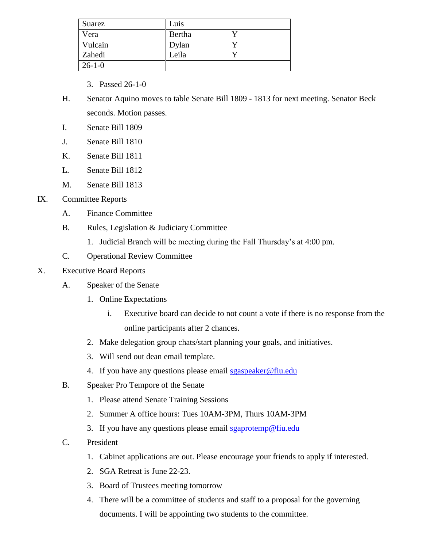| Suarez       | Luis   |  |
|--------------|--------|--|
| Vera         | Bertha |  |
| Vulcain      | Dylan  |  |
| Zahedi       | Leila  |  |
| $26 - 1 - 0$ |        |  |

- 3. Passed 26-1-0
- H. Senator Aquino moves to table Senate Bill 1809 1813 for next meeting. Senator Beck seconds. Motion passes.
- I. Senate Bill 1809
- J. Senate Bill 1810
- K. Senate Bill 1811
- L. Senate Bill 1812
- M. Senate Bill 1813

#### IX. Committee Reports

- A. Finance Committee
- B. Rules, Legislation & Judiciary Committee
	- 1. Judicial Branch will be meeting during the Fall Thursday's at 4:00 pm.
- C. Operational Review Committee

### X. Executive Board Reports

- A. Speaker of the Senate
	- 1. Online Expectations
		- i. Executive board can decide to not count a vote if there is no response from the online participants after 2 chances.
	- 2. Make delegation group chats/start planning your goals, and initiatives.
	- 3. Will send out dean email template.
	- 4. If you have any questions please email [sgaspeaker@fiu.edu](mailto:sgaspeaker@fiu.edu)
- B. Speaker Pro Tempore of the Senate
	- 1. Please attend Senate Training Sessions
	- 2. Summer A office hours: Tues 10AM-3PM, Thurs 10AM-3PM
	- 3. If you have any questions please email [sgaprotemp@fiu.edu](mailto:sgaprotemp@fiu.edu)
- C. President
	- 1. Cabinet applications are out. Please encourage your friends to apply if interested.
	- 2. SGA Retreat is June 22-23.
	- 3. Board of Trustees meeting tomorrow
	- 4. There will be a committee of students and staff to a proposal for the governing documents. I will be appointing two students to the committee.